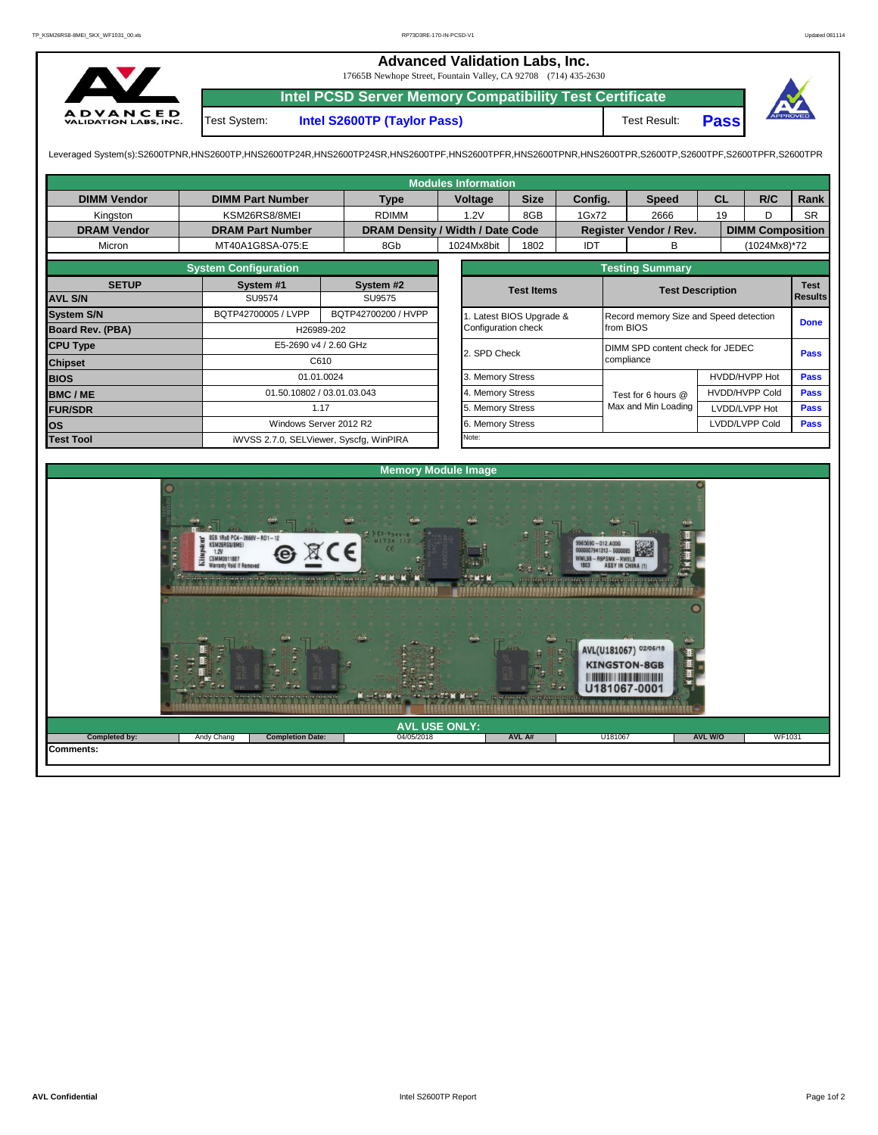## **Advanced Validation Labs, Inc.**  17665B Newhope Street, Fountain Valley, CA 92708 (714) 435-2630 **Intel PCSD Server Memory Compatibility Test Certificate A D V A N C E D**<br>VALIDATION LABS, INC. Test System: **Intel S2600TP (Taylor Pass)** Test Result: **Pass**

Leveraged System(s):S2600TPNR,HNS2600TP,HNS2600TP24R,HNS2600TP24SR,HNS2600TPF,HNS2600TPRR,HNS2600TPR,S2600TPR,S2600TPR,S2600TPR,S2600TPR,S2600TPFR,S2600TPFR,S2600TPR

| <b>Modules Information</b>               |                         |                                         |                     |                  |                                  |                     |         |                                          |                                        |               |                         |           |  |  |  |  |  |  |
|------------------------------------------|-------------------------|-----------------------------------------|---------------------|------------------|----------------------------------|---------------------|---------|------------------------------------------|----------------------------------------|---------------|-------------------------|-----------|--|--|--|--|--|--|
| <b>DIMM Vendor</b>                       | <b>DIMM Part Number</b> |                                         | <b>Type</b>         |                  | Voltage                          | <b>Size</b>         | Config. |                                          | <b>Speed</b>                           | <b>CL</b>     | R/C                     | Rank      |  |  |  |  |  |  |
| Kingston                                 | KSM26RS8/8MEI           |                                         |                     | 1.2V             |                                  | 8GB                 | 1Gx72   |                                          | 2666<br>19                             |               | D                       | <b>SR</b> |  |  |  |  |  |  |
| <b>DRAM Vendor</b>                       | <b>DRAM Part Number</b> |                                         |                     |                  | DRAM Density / Width / Date Code |                     |         |                                          | Register Vendor / Rev.                 |               | <b>DIMM Composition</b> |           |  |  |  |  |  |  |
| Micron                                   | MT40A1G8SA-075:E        |                                         | 8Gb                 |                  | 1024Mx8bit                       | 1802                | IDT     |                                          | в                                      | (1024Mx8)*72  |                         |           |  |  |  |  |  |  |
|                                          | <b>Testing Summary</b>  |                                         |                     |                  |                                  |                     |         |                                          |                                        |               |                         |           |  |  |  |  |  |  |
| <b>SETUP</b>                             | System #1               | System #2<br>SU9575<br><b>SU9574</b>    |                     |                  |                                  | <b>Test Items</b>   |         |                                          | <b>Test Description</b>                |               |                         |           |  |  |  |  |  |  |
| <b>AVL S/N</b>                           |                         |                                         |                     |                  |                                  |                     |         |                                          | <b>Results</b>                         |               |                         |           |  |  |  |  |  |  |
| <b>System S/N</b>                        | BQTP42700005 / LVPP     |                                         | BQTP42700200 / HVPP |                  | 1. Latest BIOS Upgrade &         |                     |         |                                          | Record memory Size and Speed detection |               | <b>Done</b>             |           |  |  |  |  |  |  |
| <b>Board Rev. (PBA)</b>                  |                         | H26989-202                              |                     |                  |                                  | Configuration check |         | from BIOS                                |                                        |               |                         |           |  |  |  |  |  |  |
| <b>CPU Type</b><br>E5-2690 v4 / 2.60 GHz |                         |                                         |                     |                  | 2. SPD Check                     |                     |         | DIMM SPD content check for JEDEC<br>Pass |                                        |               |                         |           |  |  |  |  |  |  |
| <b>Chipset</b>                           |                         | C610                                    |                     |                  |                                  |                     |         | compliance                               |                                        |               |                         |           |  |  |  |  |  |  |
| <b>BIOS</b>                              |                         | 01.01.0024                              |                     |                  |                                  |                     |         |                                          |                                        | HVDD/HVPP Hot | <b>Pass</b>             |           |  |  |  |  |  |  |
| <b>BMC/ME</b>                            |                         | 01.50.10802 / 03.01.03.043              |                     |                  |                                  |                     |         |                                          | Test for 6 hours @                     |               | <b>HVDD/HVPP Cold</b>   | Pass      |  |  |  |  |  |  |
| <b>FUR/SDR</b>                           |                         | 1.17                                    |                     | 5. Memory Stress |                                  |                     |         |                                          | Max and Min Loading                    |               | LVDD/LVPP Hot           | Pass      |  |  |  |  |  |  |
| <b>los</b>                               |                         | Windows Server 2012 R2                  |                     |                  | 6. Memory Stress                 |                     |         |                                          |                                        |               | <b>LVDD/LVPP Cold</b>   |           |  |  |  |  |  |  |
| <b>Test Tool</b>                         |                         | iWVSS 2.7.0, SELViewer, Syscfg, WinPIRA |                     |                  |                                  |                     | Note:   |                                          |                                        |               |                         |           |  |  |  |  |  |  |
|                                          |                         |                                         |                     |                  |                                  |                     |         |                                          |                                        |               |                         |           |  |  |  |  |  |  |
| <b>Memory Module Image</b>               |                         |                                         |                     |                  |                                  |                     |         |                                          |                                        |               |                         |           |  |  |  |  |  |  |
|                                          |                         |                                         |                     |                  |                                  |                     |         |                                          |                                        |               |                         |           |  |  |  |  |  |  |